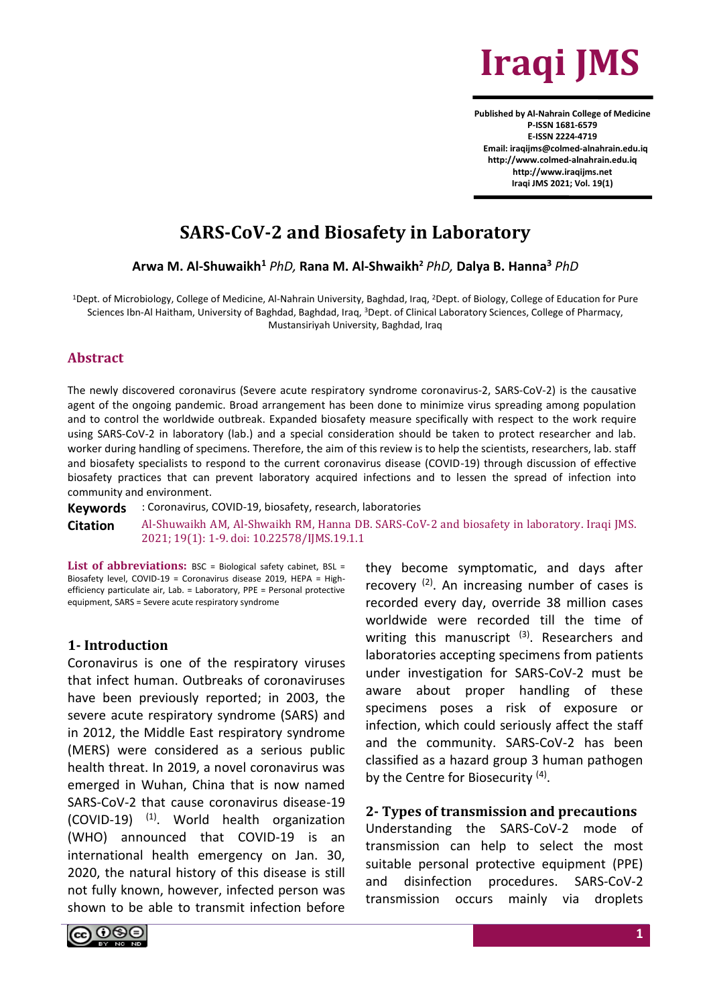

**Published by Al-Nahrain College of Medicine P-ISSN 1681-6579 E-ISSN 2224-4719 Email: iraqijms@colmed-alnahrain.edu.iq http://www.colmed-alnahrain.edu.iq [http://www.iraqijms.net](http://www.iraqijms.net/) Iraqi JMS 2021; Vol. 19(1)**

# **SARS-CoV-2 and Biosafety in Laboratory**

**Arwa M. Al-Shuwaikh<sup>1</sup>** *PhD,* **Rana M. Al-Shwaikh<sup>2</sup>** *PhD,* **Dalya B. Hanna<sup>3</sup>** *PhD*

<sup>1</sup>Dept. of Microbiology, College of Medicine, Al-Nahrain University, Baghdad, Iraq, <sup>2</sup>Dept. of Biology, College of Education for Pure Sciences Ibn-Al Haitham, University of Baghdad, Baghdad, Iraq, <sup>3</sup>Dept. of Clinical Laboratory Sciences, College of Pharmacy, Mustansiriyah University, Baghdad, Iraq

#### **Abstract**

The newly discovered coronavirus (Severe acute respiratory syndrome coronavirus-2, SARS-CoV-2) is the causative agent of the ongoing pandemic. Broad arrangement has been done to minimize virus spreading among population and to control the worldwide outbreak. Expanded biosafety measure specifically with respect to the work require using SARS-CoV-2 in laboratory (lab.) and a special consideration should be taken to protect researcher and lab. worker during handling of specimens. Therefore, the aim of this review is to help the scientists, researchers, lab. staff and biosafety specialists to respond to the current coronavirus disease (COVID-19) through discussion of effective biosafety practices that can prevent laboratory acquired infections and to lessen the spread of infection into community and environment.

**Keywords** : Coronavirus, COVID-19, biosafety, research, laboratories **Citation** Al-Shuwaikh AM, Al-Shwaikh RM, Hanna DB. SARS-CoV-2 and biosafety in laboratory. Iraqi JMS. 2021; 19(1): 1-9. doi: 10.22578/IJMS.19.1.1

List of abbreviations: BSC = Biological safety cabinet, BSL = Biosafety level, COVID-19 = Coronavirus disease 2019, HEPA = Highefficiency particulate air, Lab. = Laboratory, PPE = Personal protective equipment, SARS = Severe acute respiratory syndrome

#### **1- Introduction**

Coronavirus is one of the respiratory viruses that infect human. Outbreaks of coronaviruses have been previously reported; in 2003, the severe acute respiratory syndrome (SARS) and in 2012, the Middle East respiratory syndrome (MERS) were considered as a serious public health threat. In 2019, a novel coronavirus was emerged in Wuhan, China that is now named SARS-CoV-2 that cause coronavirus disease-19  $(COVID-19)$  <sup>(1)</sup>. World health organization (WHO) announced that COVID-19 is an international health emergency on Jan. 30, 2020, the natural history of this disease is still not fully known, however, infected person was shown to be able to transmit infection before

they become symptomatic, and days after recovery<sup>(2)</sup>. An increasing number of cases is recorded every day, override 38 million cases worldwide were recorded till the time of writing this manuscript <sup>(3)</sup>. Researchers and laboratories accepting specimens from patients under investigation for SARS-CoV-2 must be aware about proper handling of these specimens poses a risk of exposure or infection, which could seriously affect the staff and the community. SARS-CoV-2 has been classified as a hazard group 3 human pathogen by the Centre for Biosecurity<sup>(4)</sup>.

#### **2- Types of transmission and precautions**

Understanding the SARS-CoV-2 mode of transmission can help to select the most suitable personal protective equipment (PPE) and disinfection procedures. SARS-CoV-2 transmission occurs mainly via droplets

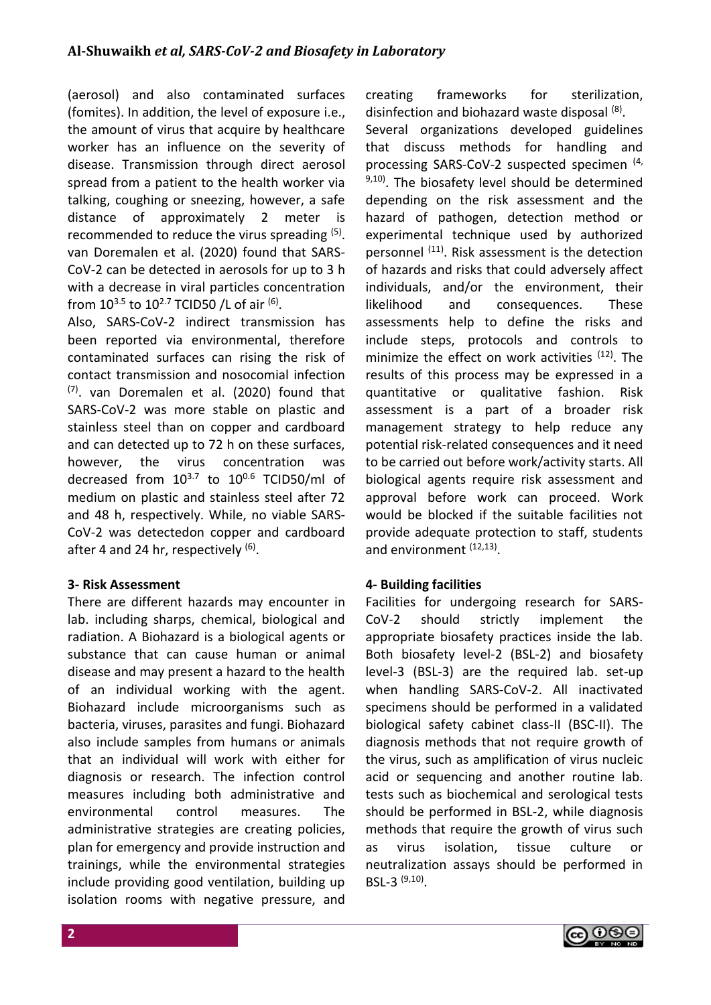(aerosol) and also contaminated surfaces (fomites). In addition, the level of exposure i.e., the amount of virus that acquire by healthcare worker has an influence on the severity of disease. Transmission through direct aerosol spread from a patient to the health worker via talking, coughing or sneezing, however, a safe distance of approximately 2 meter is recommended to reduce the virus spreading (5). van Doremalen et al. (2020) found that SARS-CoV-2 can be detected in aerosols for up to 3 h with a decrease in viral particles concentration from  $10^{3.5}$  to  $10^{2.7}$  TCID50 /L of air  $^{(6)}$ .

Also, SARS-CoV-2 indirect transmission has been reported via environmental, therefore contaminated surfaces can rising the risk of contact transmission and nosocomial infection (7) . van Doremalen et al. (2020) found that SARS-CoV-2 was more stable on plastic and stainless steel than on copper and cardboard and can detected up to 72 h on these surfaces, however, the virus concentration was decreased from  $10^{3.7}$  to  $10^{0.6}$  TCID50/ml of medium on plastic and stainless steel after 72 and 48 h, respectively. While, no viable SARS-CoV-2 was detectedon copper and cardboard after 4 and 24 hr, respectively <sup>(6)</sup>.

# **3- Risk Assessment**

There are different hazards may encounter in lab. including sharps, chemical, biological and radiation. A Biohazard is a biological agents or substance that can cause human or animal disease and may present a hazard to the health of an individual working with the agent. Biohazard include microorganisms such as bacteria, viruses, parasites and fungi. Biohazard also include samples from humans or animals that an individual will work with either for diagnosis or research. The infection control measures including both administrative and environmental control measures. The administrative strategies are creating policies, plan for emergency and provide instruction and trainings, while the environmental strategies include providing good ventilation, building up isolation rooms with negative pressure, and creating frameworks for sterilization, disinfection and biohazard waste disposal (8). Several organizations developed guidelines that discuss methods for handling and processing SARS-CoV-2 suspected specimen (4,  $9,10$ ). The biosafety level should be determined depending on the risk assessment and the hazard of pathogen, detection method or experimental technique used by authorized personnel (11). Risk assessment is the detection of hazards and risks that could adversely affect individuals, and/or the environment, their likelihood and consequences. These assessments help to define the risks and include steps, protocols and controls to minimize the effect on work activities <sup>(12)</sup>. The results of this process may be expressed in a quantitative or qualitative fashion. Risk assessment is a part of a broader risk management strategy to help reduce any potential risk-related consequences and it need to be carried out before work/activity starts. All biological agents require risk assessment and approval before work can proceed. Work would be blocked if the suitable facilities not provide adequate protection to staff, students and environment <sup>(12,13)</sup>.

# **4- Building facilities**

Facilities for undergoing research for SARS-CoV-2 should strictly implement the appropriate biosafety practices inside the lab. Both biosafety level-2 (BSL-2) and biosafety level-3 (BSL-3) are the required lab. set-up when handling SARS-CoV-2. All inactivated specimens should be performed in a validated biological safety cabinet class-II (BSC-II). The diagnosis methods that not require growth of the virus, such as amplification of virus nucleic acid or sequencing and another routine lab. tests such as biochemical and serological tests should be performed in BSL-2, while diagnosis methods that require the growth of virus such as virus isolation, tissue culture or neutralization assays should be performed in BSL-3 (9,10) .

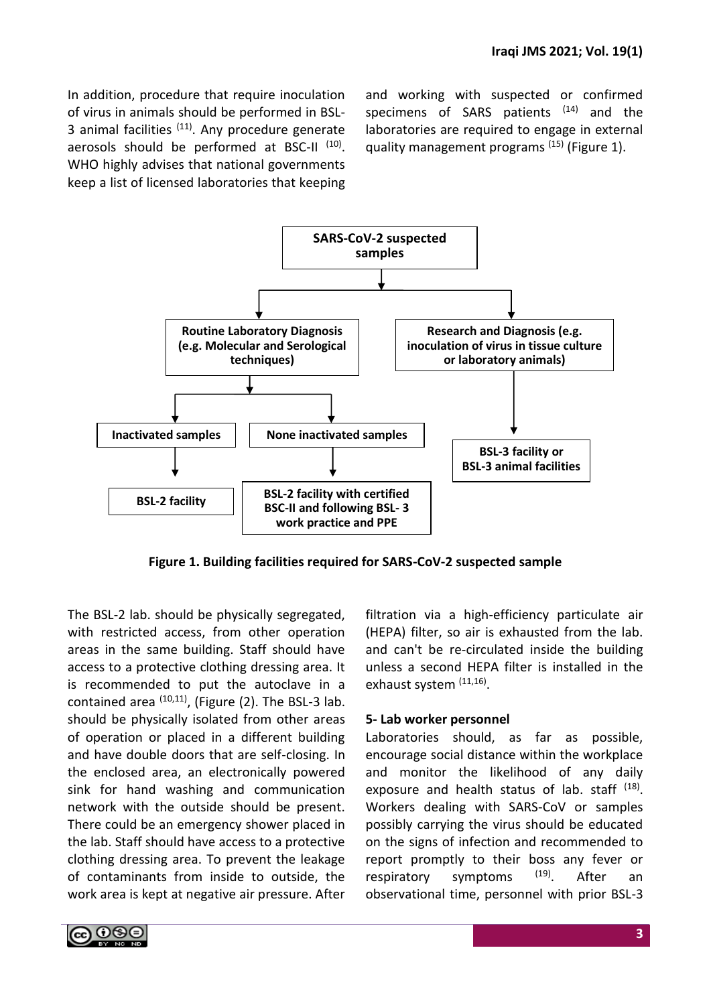In addition, procedure that require inoculation of virus in animals should be performed in BSL-3 animal facilities  $(11)$ . Any procedure generate aerosols should be performed at BSC-II<sup>(10)</sup>. WHO highly advises that national governments keep a list of licensed laboratories that keeping and working with suspected or confirmed specimens of SARS patients  $(14)$  and the laboratories are required to engage in external quality management programs<sup>(15)</sup> (Figure 1).



**Figure 1. Building facilities required for SARS-CoV-2 suspected sample** 

The BSL-2 lab. should be physically segregated, with restricted access, from other operation areas in the same building. Staff should have access to a protective clothing dressing area. It is recommended to put the autoclave in a contained area  $(10,11)$ , (Figure (2). The BSL-3 lab. should be physically isolated from other areas of operation or placed in a different building and have double doors that are self-closing. In the enclosed area, an electronically powered sink for hand washing and communication network with the outside should be present. There could be an emergency shower placed in the lab. Staff should have access to a protective clothing dressing area. To prevent the leakage of contaminants from inside to outside, the work area is kept at negative air pressure. After

filtration via a high-efficiency particulate air (HEPA) filter, so air is exhausted from the lab. and can't be re-circulated inside the building unless a second HEPA filter is installed in the exhaust system (11,16).

#### **5- Lab worker personnel**

Laboratories should, as far as possible, encourage social distance within the workplace and monitor the likelihood of any daily exposure and health status of lab. staff <sup>(18)</sup>. Workers dealing with SARS-CoV or samples possibly carrying the virus should be educated on the signs of infection and recommended to report promptly to their boss any fever or respiratory symptoms <sup>(19)</sup>. After an observational time, personnel with prior BSL-3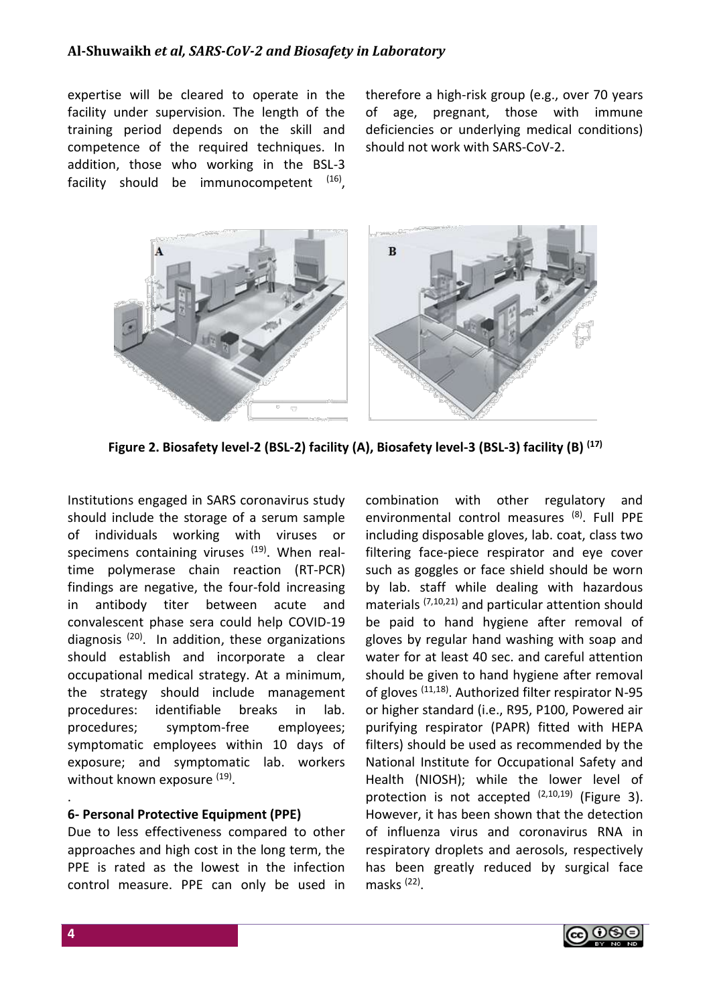## **Al-Shuwaikh** *et al, SARS-CoV-2 and Biosafety in Laboratory*

expertise will be cleared to operate in the facility under supervision. The length of the training period depends on the skill and competence of the required techniques. In addition, those who working in the BSL-3 facility should be immunocompetent <sup>(16)</sup>, therefore a high-risk group (e.g., over 70 years of age, pregnant, those with immune deficiencies or underlying medical conditions) should not work with SARS-CoV-2.



**Figure 2. Biosafety level-2 (BSL-2) facility (A), Biosafety level-3 (BSL-3) facility (B) (17)**

Institutions engaged in SARS coronavirus study should include the storage of a serum sample of individuals working with viruses or specimens containing viruses  $(19)$ . When realtime polymerase chain reaction (RT-PCR) findings are negative, the four-fold increasing in antibody titer between acute and convalescent phase sera could help COVID-19 diagnosis (20). In addition, these organizations should establish and incorporate a clear occupational medical strategy. At a minimum, the strategy should include management procedures: identifiable breaks in lab. procedures; symptom-free employees; symptomatic employees within 10 days of exposure; and symptomatic lab. workers without known exposure <sup>(19)</sup>.

#### **6- Personal Protective Equipment (PPE)**

Due to less effectiveness compared to other approaches and high cost in the long term, the PPE is rated as the lowest in the infection control measure. PPE can only be used in combination with other regulatory and environmental control measures (8). Full PPE including disposable gloves, lab. coat, class two filtering face-piece respirator and eye cover such as goggles or face shield should be worn by lab. staff while dealing with hazardous materials (7,10,21) and particular attention should be paid to hand hygiene after removal of gloves by regular hand washing with soap and water for at least 40 sec. and careful attention should be given to hand hygiene after removal of gloves (11,18). Authorized filter respirator N-95 or higher standard (i.e., R95, P100, Powered air purifying respirator (PAPR) fitted with HEPA filters) should be used as recommended by the National Institute for Occupational Safety and Health (NIOSH); while the lower level of protection is not accepted  $(2,10,19)$  (Figure 3). However, it has been shown that the detection of influenza virus and coronavirus RNA in respiratory droplets and aerosols, respectively has been greatly reduced by surgical face masks<sup>(22)</sup>.



.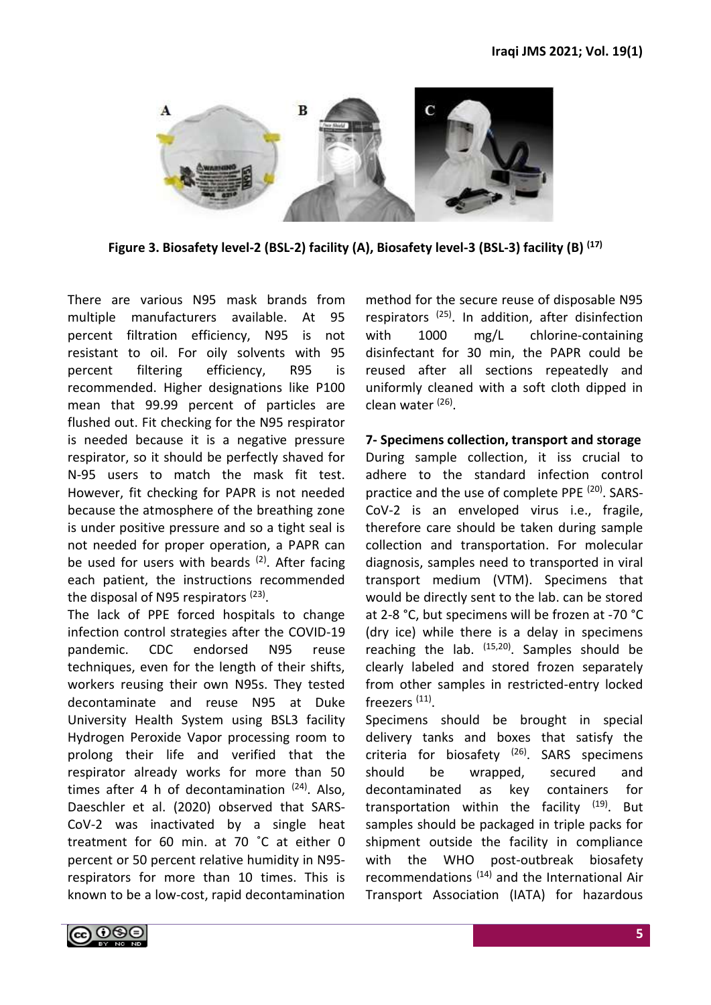

**Figure 3. Biosafety level-2 (BSL-2) facility (A), Biosafety level-3 (BSL-3) facility (B) (17)**

There are various N95 mask brands from multiple manufacturers available. At 95 percent filtration efficiency, N95 is not resistant to oil. For oily solvents with 95 percent filtering efficiency, R95 is recommended. Higher designations like P100 mean that 99.99 percent of particles are flushed out. Fit checking for the N95 respirator is needed because it is a negative pressure respirator, so it should be perfectly shaved for N-95 users to match the mask fit test. However, fit checking for PAPR is not needed because the atmosphere of the breathing zone is under positive pressure and so a tight seal is not needed for proper operation, a PAPR can be used for users with beards <sup>(2)</sup>. After facing each patient, the instructions recommended the disposal of N95 respirators <sup>(23)</sup>.

The lack of PPE forced hospitals to change infection control strategies after the COVID-19 pandemic. CDC endorsed N95 reuse techniques, even for the length of their shifts, workers reusing their own N95s. They tested decontaminate and reuse N95 at Duke University Health System using BSL3 facility Hydrogen Peroxide Vapor processing room to prolong their life and verified that the respirator already works for more than 50 times after 4 h of decontamination  $(24)$ . Also, Daeschler et al. (2020) observed that SARS-CoV-2 was inactivated by a single heat treatment for 60 min. at 70 ˚C at either 0 percent or 50 percent relative humidity in N95 respirators for more than 10 times. This is known to be a low-cost, rapid decontamination

method for the secure reuse of disposable N95 respirators (25). In addition, after disinfection with 1000 mg/L chlorine-containing disinfectant for 30 min, the PAPR could be reused after all sections repeatedly and uniformly cleaned with a soft cloth dipped in clean water (26).

#### **7- Specimens collection, transport and storage**

During sample collection, it iss crucial to adhere to the standard infection control practice and the use of complete PPE (20). SARS-CoV-2 is an enveloped virus i.e., fragile, therefore care should be taken during sample collection and transportation. For molecular diagnosis, samples need to transported in viral transport medium (VTM). Specimens that would be directly sent to the lab. can be stored at 2-8 °C, but specimens will be frozen at -70 °C (dry ice) while there is a delay in specimens reaching the lab.  $(15,20)$ . Samples should be clearly labeled and stored frozen separately from other samples in restricted-entry locked freezers<sup>(11)</sup>.

Specimens should be brought in special delivery tanks and boxes that satisfy the criteria for biosafety (26). SARS specimens should be wrapped, secured and decontaminated as key containers for transportation within the facility  $(19)$ . But samples should be packaged in triple packs for shipment outside the facility in compliance with the WHO post-outbreak biosafety recommendations (14) and the International Air Transport Association (IATA) for hazardous

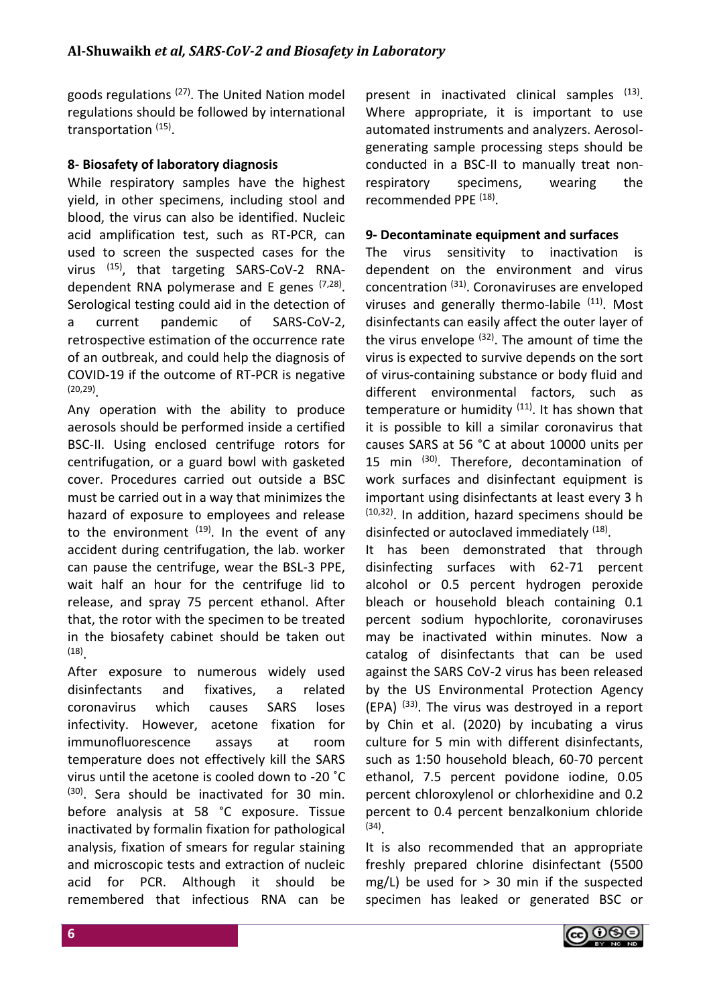goods regulations (27). The United Nation model regulations should be followed by international transportation (15).

## **8- Biosafety of laboratory diagnosis**

While respiratory samples have the highest yield, in other specimens, including stool and blood, the virus can also be identified. Nucleic acid amplification test, such as RT-PCR, can used to screen the suspected cases for the virus (15), that targeting SARS-CoV-2 RNAdependent RNA polymerase and E genes <sup>(7,28)</sup>. Serological testing could aid in the detection of a current pandemic of SARS-CoV-2, retrospective estimation of the occurrence rate of an outbreak, and could help the diagnosis of COVID-19 if the outcome of RT-PCR is negative (20,29) .

Any operation with the ability to produce aerosols should be performed inside a certified BSC-II. Using enclosed centrifuge rotors for centrifugation, or a guard bowl with gasketed cover. Procedures carried out outside a BSC must be carried out in a way that minimizes the hazard of exposure to employees and release to the environment <sup>(19)</sup>. In the event of any accident during centrifugation, the lab. worker can pause the centrifuge, wear the BSL-3 PPE, wait half an hour for the centrifuge lid to release, and spray 75 percent ethanol. After that, the rotor with the specimen to be treated in the biosafety cabinet should be taken out (18) .

After exposure to numerous widely used disinfectants and fixatives, a related coronavirus which causes SARS loses infectivity. However, acetone fixation for immunofluorescence assays at room temperature does not effectively kill the SARS virus until the acetone is cooled down to -20 ˚C  $(30)$ . Sera should be inactivated for 30 min. before analysis at 58 °C exposure. Tissue inactivated by formalin fixation for pathological analysis, fixation of smears for regular staining and microscopic tests and extraction of nucleic acid for PCR. Although it should be remembered that infectious RNA can be

present in inactivated clinical samples <sup>(13)</sup>. Where appropriate, it is important to use automated instruments and analyzers. Aerosolgenerating sample processing steps should be conducted in a BSC-II to manually treat nonrespiratory specimens, wearing the recommended PPE<sup>(18)</sup>.

## **9- Decontaminate equipment and surfaces**

The virus sensitivity to inactivation is dependent on the environment and virus concentration (31). Coronaviruses are enveloped viruses and generally thermo-labile  $(11)$ . Most disinfectants can easily affect the outer layer of the virus envelope  $(32)$ . The amount of time the virus is expected to survive depends on the sort of virus-containing substance or body fluid and different environmental factors, such as temperature or humidity  $(11)$ . It has shown that it is possible to kill a similar coronavirus that causes SARS at 56 °C at about 10000 units per 15 min (30). Therefore, decontamination of work surfaces and disinfectant equipment is important using disinfectants at least every 3 h  $(10,32)$ . In addition, hazard specimens should be disinfected or autoclaved immediately <sup>(18)</sup>.

It has been demonstrated that through disinfecting surfaces with 62-71 percent alcohol or 0.5 percent hydrogen peroxide bleach or household bleach containing 0.1 percent sodium hypochlorite, coronaviruses may be inactivated within minutes. Now a catalog of disinfectants that can be used against the SARS CoV-2 virus has been released by the US Environmental Protection Agency  $(EPA)$   $(33)$ . The virus was destroyed in a report by Chin et al. (2020) by incubating a virus culture for 5 min with different disinfectants, such as 1:50 household bleach, 60-70 percent ethanol, 7.5 percent povidone iodine, 0.05 percent chloroxylenol or chlorhexidine and 0.2 percent to 0.4 percent benzalkonium chloride (34) .

It is also recommended that an appropriate freshly prepared chlorine disinfectant (5500 mg/L) be used for  $> 30$  min if the suspected specimen has leaked or generated BSC or

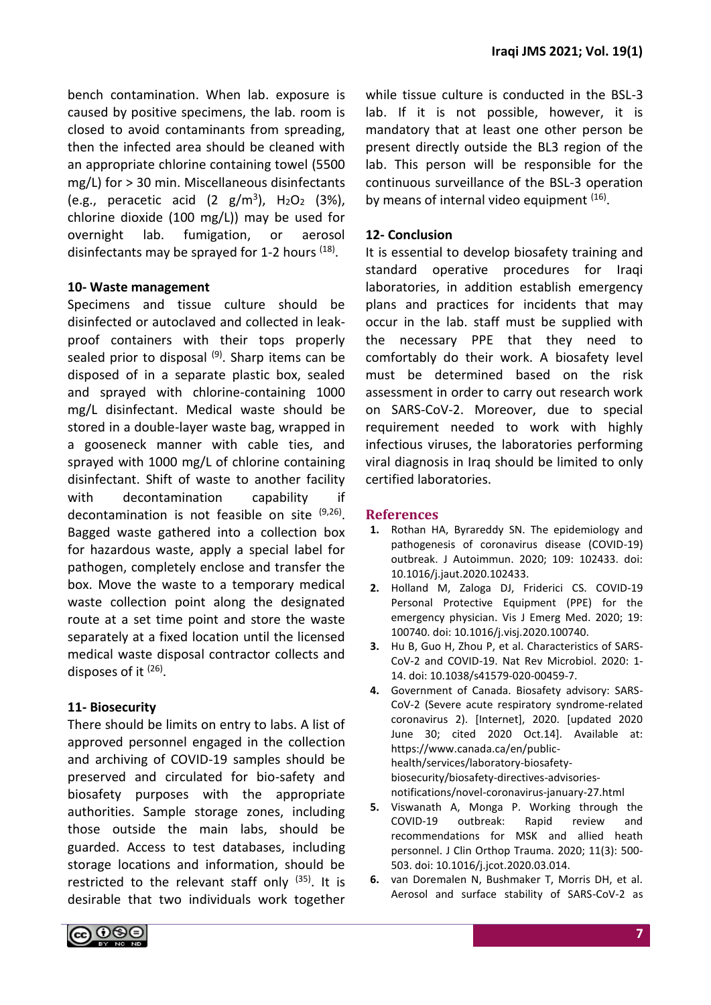bench contamination. When lab. exposure is caused by positive specimens, the lab. room is closed to avoid contaminants from spreading, then the infected area should be cleaned with an appropriate chlorine containing towel (5500 mg/L) for > 30 min. Miscellaneous disinfectants (e.g., peracetic acid  $(2 \text{ g/m}^3)$ , H<sub>2</sub>O<sub>2</sub> (3%), chlorine dioxide (100 mg/L)) may be used for overnight lab. fumigation, or aerosol disinfectants may be sprayed for 1-2 hours <sup>(18)</sup>.

# **10- Waste management**

Specimens and tissue culture should be disinfected or autoclaved and collected in leakproof containers with their tops properly sealed prior to disposal  $(9)$ . Sharp items can be disposed of in a separate plastic box, sealed and sprayed with chlorine-containing 1000 mg/L disinfectant. Medical waste should be stored in a double-layer waste bag, wrapped in a gooseneck manner with cable ties, and sprayed with 1000 mg/L of chlorine containing disinfectant. Shift of waste to another facility with decontamination capability if decontamination is not feasible on site <sup>(9,26)</sup>. Bagged waste gathered into a collection box for hazardous waste, apply a special label for pathogen, completely enclose and transfer the box. Move the waste to a temporary medical waste collection point along the designated route at a set time point and store the waste separately at a fixed location until the licensed medical waste disposal contractor collects and disposes of it <sup>(26)</sup>.

# **11- Biosecurity**

There should be limits on entry to labs. A list of approved personnel engaged in the collection and archiving of COVID-19 samples should be preserved and circulated for bio-safety and biosafety purposes with the appropriate authorities. Sample storage zones, including those outside the main labs, should be guarded. Access to test databases, including storage locations and information, should be restricted to the relevant staff only  $(35)$ . It is desirable that two individuals work together while tissue culture is conducted in the BSL-3 lab. If it is not possible, however, it is mandatory that at least one other person be present directly outside the BL3 region of the lab. This person will be responsible for the continuous surveillance of the BSL-3 operation by means of internal video equipment <sup>(16)</sup>.

## **12- Conclusion**

It is essential to develop biosafety training and standard operative procedures for Iraqi laboratories, in addition establish emergency plans and practices for incidents that may occur in the lab. staff must be supplied with the necessary PPE that they need to comfortably do their work. A biosafety level must be determined based on the risk assessment in order to carry out research work on SARS-CoV-2. Moreover, due to special requirement needed to work with highly infectious viruses, the laboratories performing viral diagnosis in Iraq should be limited to only certified laboratories.

#### **References**

- **1.** Rothan HA, Byrareddy SN. The epidemiology and pathogenesis of coronavirus disease (COVID-19) outbreak. J Autoimmun. 2020; 109: 102433. doi: 10.1016/j.jaut.2020.102433.
- **2.** Holland M, Zaloga DJ, Friderici CS. COVID-19 Personal Protective Equipment (PPE) for the emergency physician. Vis J Emerg Med. 2020; 19: 100740. doi: 10.1016/j.visj.2020.100740.
- **3.** Hu B, Guo H, Zhou P, et al. Characteristics of SARS-CoV-2 and COVID-19. Nat Rev Microbiol. 2020: 1- 14. doi: 10.1038/s41579-020-00459-7.
- **4.** Government of Canada. Biosafety advisory: SARS-CoV-2 (Severe acute respiratory syndrome-related coronavirus 2). [Internet], 2020. [updated 2020 June 30; cited 2020 Oct.14]. Available at: https://www.canada.ca/en/publichealth/services/laboratory-biosafetybiosecurity/biosafety-directives-advisoriesnotifications/novel-coronavirus-january-27.html
- **5.** Viswanath A, Monga P. Working through the COVID-19 outbreak: Rapid review and recommendations for MSK and allied heath personnel. J Clin Orthop Trauma. 2020; 11(3): 500- 503. doi: 10.1016/j.jcot.2020.03.014.
- **6.** van Doremalen N, Bushmaker T, Morris DH, et al. Aerosol and surface stability of SARS-CoV-2 as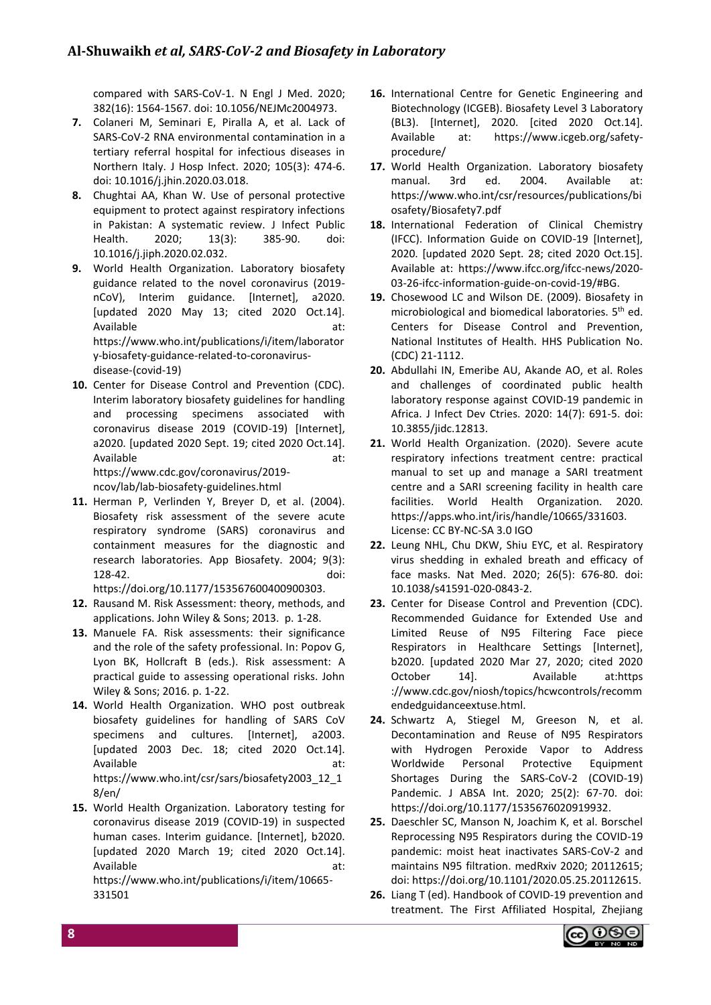compared with SARS-CoV-1. N Engl J Med. 2020; 382(16): 1564-1567. doi: 10.1056/NEJMc2004973.

- **7.** Colaneri M, Seminari E, Piralla A, et al. Lack of SARS-CoV-2 RNA environmental contamination in a tertiary referral hospital for infectious diseases in Northern Italy. J Hosp Infect. 2020; 105(3): 474-6. doi: 10.1016/j.jhin.2020.03.018.
- **8.** Chughtai AA, Khan W. Use of personal protective equipment to protect against respiratory infections in Pakistan: A systematic review. J Infect Public Health. 2020; 13(3): 385-90. doi: 10.1016/j.jiph.2020.02.032.
- **9.** World Health Organization. Laboratory biosafety guidance related to the novel coronavirus (2019 nCoV), Interim guidance. [Internet], a2020. [updated 2020 May 13; cited 2020 Oct.14]. Available at: https://www.who.int/publications/i/item/laborator y-biosafety-guidance-related-to-coronavirusdisease-(covid-19)
- **10.** Center for Disease Control and Prevention (CDC). Interim laboratory biosafety guidelines for handling and processing specimens associated with coronavirus disease 2019 (COVID-19) [Internet], a2020. [updated 2020 Sept. 19; cited 2020 Oct.14]. Available at:

https://www.cdc.gov/coronavirus/2019 ncov/lab/lab-biosafety-guidelines.html

**11.** Herman P, Verlinden Y, Breyer D, et al. (2004). [Biosafety risk assessment of the severe acute](https://absa.org/wp-content/uploads/2020/03/ABJ-040309_Biosafety_Risk_Assessment.pdf)  [respiratory syndrome \(SARS\) coronavirus and](https://absa.org/wp-content/uploads/2020/03/ABJ-040309_Biosafety_Risk_Assessment.pdf)  [containment measures for the diagnostic and](https://absa.org/wp-content/uploads/2020/03/ABJ-040309_Biosafety_Risk_Assessment.pdf)  [research laboratories. A](https://absa.org/wp-content/uploads/2020/03/ABJ-040309_Biosafety_Risk_Assessment.pdf)pp Biosafety. 2004; 9(3): 128-42. doi:

https://doi.org/10.1177/153567600400900303.

- **12.** Rausand M. Risk Assessment: theory, methods, and applications. John Wiley & Sons; 2013. p. 1-28.
- 13. Manuele FA. Risk assessments: their significance [and the role of the safety professional.](https://books.google.com/books?id=zqjLCgAAQBAJ&pg=PA2) In: Popov G, Lyon BK, Hollcraft B (eds.). Risk assessment: A practical guide to assessing operational risks. John Wiley & Sons; 2016. p. 1-22.
- **14.** World Health Organization. WHO post outbreak biosafety guidelines for handling of SARS CoV specimens and cultures. [Internet], a2003. [updated 2003 Dec. 18; cited 2020 Oct.14]. Available at: https://www.who.int/csr/sars/biosafety2003\_12\_1 8/en/
- **15.** World Health Organization. Laboratory testing for coronavirus disease 2019 (COVID-19) in suspected human cases. Interim guidance. [Internet], b2020. [updated 2020 March 19; cited 2020 Oct.14]. Available at: https://www.who.int/publications/i/item/10665- 331501
- **16.** International Centre for Genetic Engineering and Biotechnology (ICGEB). Biosafety Level 3 Laboratory (BL3). [Internet], 2020. [cited 2020 Oct.14]. Available at: https://www.icgeb.org/safetyprocedure/
- **17.** World Health Organization. Laboratory biosafety manual. 3rd ed. 2004. Available at: https://www.who.int/csr/resources/publications/bi osafety/Biosafety7.pdf
- **18.** International Federation of Clinical Chemistry (IFCC). Information Guide on COVID-19 [Internet], 2020. [updated 2020 Sept. 28; cited 2020 Oct.15]. Available at: https://www.ifcc.org/ifcc-news/2020- 03-26-ifcc-information-guide-on-covid-19/#BG.
- **19.** Chosewood LC and Wilson DE. (2009). Biosafety in microbiological and biomedical laboratories. 5<sup>th</sup> ed. Centers for Disease Control and Prevention, National Institutes of Health. HHS Publication No. (CDC) 21-1112.
- **20.** Abdullahi IN, Emeribe AU, Akande AO, et al. Roles and challenges of coordinated public health laboratory response against COVID-19 pandemic in Africa. J Infect Dev Ctries. 2020: 14(7): 691-5. doi: 10.3855/jidc.12813.
- **21.** World Health Organization. (2020). Severe acute respiratory infections treatment centre: practical manual to set up and manage a SARI treatment centre and a SARI screening facility in health care facilities. World Health Organization. 2020. https://apps.who.int/iris/handle/10665/331603. License: CC BY-NC-SA 3.0 IGO
- **22.** Leung NHL, Chu DKW, Shiu EYC, et al. Respiratory virus shedding in exhaled breath and efficacy of face masks. Nat Med. 2020; 26(5): 676-80. doi: 10.1038/s41591-020-0843-2.
- **23.** Center for Disease Control and Prevention (CDC). Recommended Guidance for Extended Use and Limited Reuse of N95 Filtering Face piece Respirators in Healthcare Settings [Internet], b2020. [updated 2020 Mar 27, 2020; cited 2020 October 14]. Available at:https ://www.cdc.gov/niosh/topics/hcwcontrols/recomm endedguidanceextuse.html.
- **24.** Schwartz A, Stiegel M, Greeson N, et al. Decontamination and Reuse of N95 Respirators with Hydrogen Peroxide Vapor to Address Worldwide Personal Protective Equipment Shortages During the SARS-CoV-2 (COVID-19) Pandemic. J ABSA Int. 2020; 25(2): 67-70. doi: [https://doi.org/10.1177/1535676020919932.](https://doi.org/10.1177%2F1535676020919932)
- **25.** Daeschler SC, Manson N, Joachim K, et al. Borschel Reprocessing N95 Respirators during the COVID-19 pandemic: moist heat inactivates SARS-CoV-2 and maintains N95 filtration. medRxiv 2020; 20112615; doi: https://doi.org/10.1101/2020.05.25.20112615.
- **26.** Liang T (ed). Handbook of COVID-19 prevention and treatment. The First Affiliated Hospital, Zhejiang